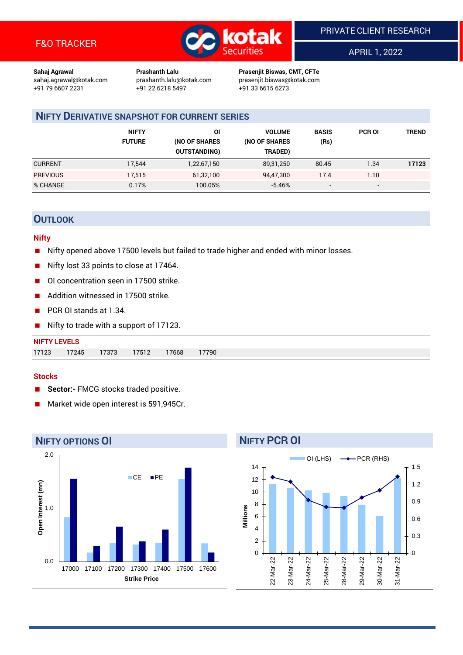

APRIL 1, 2022

**Sahaj Agrawal Prashanth Lalu Prasenjit Biswas, CMT, CFTe** +91 22 6218 5497 +91 33 6615 6273

sahaj.agrawal@kotak.com [prashanth.lalu@kotak.com](mailto:prashanth.lalu@kotak.com) prasenjit.biswas@kotak.com

### **NIFTY DERIVATIVE SNAPSHOT FOR CURRENT SERIES**

|                 | <b>NIFTY</b><br><b>FUTURE</b> | ΟI<br>(NO OF SHARES<br><b>OUTSTANDING)</b> | <b>VOLUME</b><br>(NO OF SHARES<br>TRADED) | <b>BASIS</b><br>(Rs)     | <b>PCR OI</b>            | TREND |
|-----------------|-------------------------------|--------------------------------------------|-------------------------------------------|--------------------------|--------------------------|-------|
| <b>CURRENT</b>  | 17.544                        | 1,22,67,150                                | 89,31,250                                 | 80.45                    | 1.34                     | 17123 |
| <b>PREVIOUS</b> | 17,515                        | 61,32,100                                  | 94.47.300                                 | 17.4                     | 1.10                     |       |
| % CHANGE        | 0.17%                         | 100.05%                                    | $-5.46%$                                  | $\overline{\phantom{a}}$ | $\overline{\phantom{0}}$ |       |

#### **OUTLOOK**

#### **Nifty**

- Nifty opened above 17500 levels but failed to trade higher and ended with minor losses.
- Nifty lost 33 points to close at 17464.
- OI concentration seen in 17500 strike.
- Addition witnessed in 17500 strike.
- PCR OI stands at 1.34.
- Nifty to trade with a support of 17123.

#### **NIFTY LEVELS** 17123 17245 17373 17512 17668 17790

#### **Stocks**

- **Sector:-** FMCG stocks traded positive.
- Market wide open interest is 591,945Cr.



### **NIFTY PCR OI**

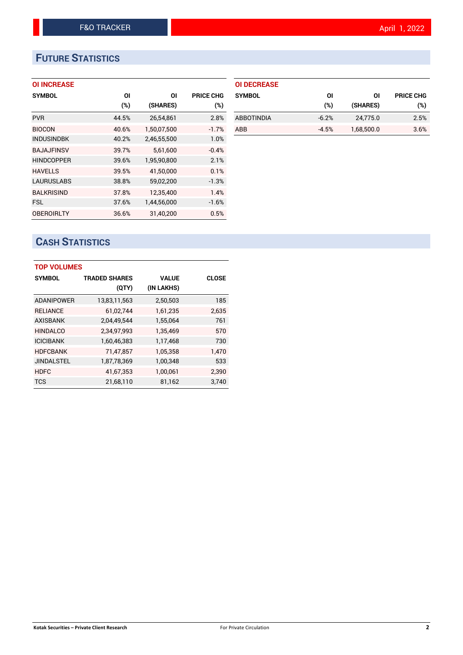# **FUTURE STATISTICS**

#### **OI INCREASE**

| <b>SYMBOL</b>     | ΟI    | ΟI          | <b>PRICE CHG</b> |
|-------------------|-------|-------------|------------------|
|                   | (%)   | (SHARES)    | (%)              |
| <b>PVR</b>        | 44.5% | 26,54,861   | 2.8%             |
| <b>BIOCON</b>     | 40.6% | 1,50,07,500 | $-1.7%$          |
| <b>INDUSINDBK</b> | 40.2% | 2,46,55,500 | 1.0%             |
| <b>BAJAJFINSV</b> | 39.7% | 5.61.600    | $-0.4%$          |
| <b>HINDCOPPER</b> | 39.6% | 1,95,90,800 | 2.1%             |
| <b>HAVELLS</b>    | 39.5% | 41.50.000   | 0.1%             |
| <b>LAURUSLABS</b> | 38.8% | 59,02,200   | $-1.3%$          |
| <b>BALKRISIND</b> | 37.8% | 12,35,400   | 1.4%             |
| <b>FSL</b>        | 37.6% | 1,44,56,000 | $-1.6%$          |
| <b>OBEROIRLTY</b> | 36.6% | 31.40.200   | 0.5%             |

| <b>OI DECREASE</b> |         |            |                  |
|--------------------|---------|------------|------------------|
| <b>SYMBOL</b>      | ΩI      | ΩI         | <b>PRICE CHG</b> |
|                    | (%)     | (SHARES)   | (%)              |
| <b>ABBOTINDIA</b>  | $-6.2%$ | 24,775.0   | 2.5%             |
| ABB                | $-4.5%$ | 1,68,500.0 | 3.6%             |

## **CASH STATISTICS**

| <b>TOP VOLUMES</b> |                      |              |              |  |  |  |  |  |
|--------------------|----------------------|--------------|--------------|--|--|--|--|--|
| <b>SYMBOL</b>      | <b>TRADED SHARES</b> | <b>VALUE</b> | <b>CLOSE</b> |  |  |  |  |  |
|                    | (QTY)                | (IN LAKHS)   |              |  |  |  |  |  |
| <b>ADANIPOWER</b>  | 13,83,11,563         | 2,50,503     | 185          |  |  |  |  |  |
| <b>RELIANCE</b>    | 61,02,744            | 1,61,235     | 2.635        |  |  |  |  |  |
| <b>AXISBANK</b>    | 2,04,49,544          | 1,55,064     | 761          |  |  |  |  |  |
| <b>HINDALCO</b>    | 2.34.97.993          | 1,35,469     | 570          |  |  |  |  |  |
| <b>ICICIBANK</b>   | 1,60,46,383          | 1,17,468     | 730          |  |  |  |  |  |
| <b>HDFCBANK</b>    | 71,47,857            | 1,05,358     | 1.470        |  |  |  |  |  |
| <b>JINDALSTEL</b>  | 1,87,78,369          | 1,00,348     | 533          |  |  |  |  |  |
| HDFC               | 41,67,353            | 1,00,061     | 2.390        |  |  |  |  |  |
| <b>TCS</b>         | 21,68,110            | 81,162       | 3,740        |  |  |  |  |  |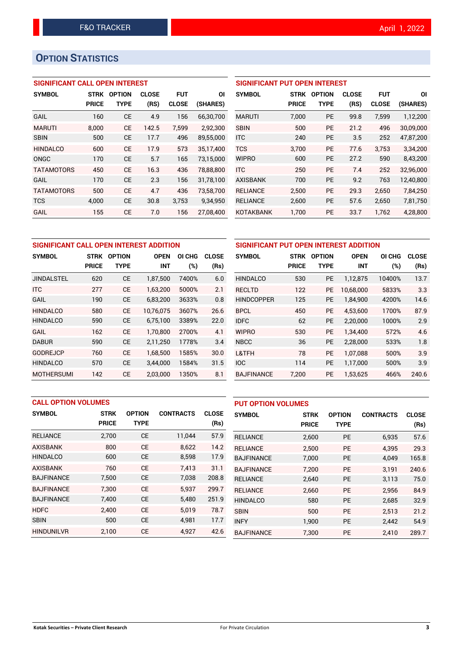# **OPTION STATISTICS**

#### **SIGNIFICANT CALL OPEN INTEREST**

| <b>SYMBOL</b>     | STRK         | <b>OPTION</b> | <b>CLOSE</b> | <b>FUT</b>   | ΟI        |
|-------------------|--------------|---------------|--------------|--------------|-----------|
|                   | <b>PRICE</b> | TYPE          | (RS)         | <b>CLOSE</b> | (SHARES)  |
| GAIL              | 160          | <b>CE</b>     | 4.9          | 156          | 66,30,700 |
| MARUTI            | 8.000        | СE            | 142.5        | 7.599        | 2,92,300  |
| <b>SBIN</b>       | 500          | CE            | 17.7         | 496          | 89,55,000 |
| <b>HINDALCO</b>   | 600          | <b>CE</b>     | 17.9         | 573          | 35,17,400 |
| ONGC              | 170          | CE            | 5.7          | 165          | 73,15,000 |
| <b>TATAMOTORS</b> | 450          | CE            | 16.3         | 436          | 78,88,800 |
| GAIL              | 170          | СE            | 2.3          | 156          | 31,78,100 |
| <b>TATAMOTORS</b> | 500          | CF            | 4.7          | 436          | 73,58,700 |
| <b>TCS</b>        | 4,000        | CЕ            | 30.8         | 3,753        | 9,34,950  |
| GAIL              | 155          | СE            | 7.0          | 156          | 27.08.400 |

|                  | <b>SIGNIFICANT PUT OPEN INTEREST</b> |               |              |              |           |  |  |  |  |
|------------------|--------------------------------------|---------------|--------------|--------------|-----------|--|--|--|--|
| <b>SYMBOL</b>    | <b>STRK</b>                          | <b>OPTION</b> | <b>CLOSE</b> | <b>FUT</b>   | ΟI        |  |  |  |  |
|                  | <b>PRICE</b>                         | <b>TYPE</b>   | (RS)         | <b>CLOSE</b> | (SHARES)  |  |  |  |  |
| <b>MARUTI</b>    | 7,000                                | <b>PE</b>     | 99.8         | 7,599        | 1,12,200  |  |  |  |  |
| <b>SBIN</b>      | 500                                  | <b>PE</b>     | 21.2         | 496          | 30,09,000 |  |  |  |  |
| <b>ITC</b>       | 240                                  | <b>PE</b>     | 3.5          | 252          | 47,87,200 |  |  |  |  |
| <b>TCS</b>       | 3,700                                | <b>PE</b>     | 77.6         | 3.753        | 3,34,200  |  |  |  |  |
| <b>WIPRO</b>     | 600                                  | <b>PE</b>     | 27.2         | 590          | 8,43,200  |  |  |  |  |
| <b>ITC</b>       | 250                                  | <b>PE</b>     | 7.4          | 252          | 32,96,000 |  |  |  |  |
| <b>AXISBANK</b>  | 700                                  | <b>PE</b>     | 9.2          | 763          | 12,40,800 |  |  |  |  |
| <b>RELIANCE</b>  | 2,500                                | <b>PE</b>     | 29.3         | 2,650        | 7,84,250  |  |  |  |  |
| <b>RELIANCE</b>  | 2,600                                | <b>PE</b>     | 57.6         | 2,650        | 7,81,750  |  |  |  |  |
| <b>KOTAKBANK</b> | 1,700                                | <b>PE</b>     | 33.7         | 1.762        | 4,28,800  |  |  |  |  |

| SIGNIFICANT CALL OPEN INTEREST ADDITION |              |               |             |        |              | <b>SIGNIFICANT PUT OPEN I</b> |              |  |
|-----------------------------------------|--------------|---------------|-------------|--------|--------------|-------------------------------|--------------|--|
| <b>SYMBOL</b>                           | <b>STRK</b>  | <b>OPTION</b> | <b>OPEN</b> | OI CHG | <b>CLOSE</b> | <b>SYMBOL</b>                 | STRK O       |  |
|                                         | <b>PRICE</b> | <b>TYPE</b>   | <b>INT</b>  | (%)    | (Rs)         |                               | <b>PRICE</b> |  |
| <b>JINDALSTEL</b>                       | 620          | <b>CE</b>     | 1,87,500    | 7400%  | 6.0          | <b>HINDALCO</b>               | 530          |  |
| <b>ITC</b>                              | 277          | <b>CE</b>     | 1.63.200    | 5000%  | 2.1          | <b>RECLTD</b>                 | 122          |  |
| GAIL                                    | 190          | <b>CE</b>     | 6,83,200    | 3633%  | 0.8          | <b>HINDCOPPER</b>             | 125          |  |
| <b>HINDALCO</b>                         | 580          | <b>CE</b>     | 10.76.075   | 3607%  | 26.6         | <b>BPCL</b>                   | 450          |  |
| <b>HINDALCO</b>                         | 590          | <b>CE</b>     | 6,75,100    | 3389%  | 22.0         | <b>IDFC</b>                   | 62           |  |
| GAIL                                    | 162          | <b>CE</b>     | 1.70.800    | 2700%  | 4.1          | <b>WIPRO</b>                  | 530          |  |
| <b>DABUR</b>                            | 590          | <b>CE</b>     | 2,11,250    | 1778%  | 3.4          | <b>NBCC</b>                   | 36           |  |
| <b>GODREJCP</b>                         | 760          | <b>CE</b>     | 1.68.500    | 1585%  | 30.0         | L&TFH                         | 78           |  |
| <b>HINDALCO</b>                         | 570          | <b>CE</b>     | 3,44,000    | 1584%  | 31.5         | <b>IOC</b>                    | 114          |  |
| <b>MOTHERSUMI</b>                       | 142          | <b>CE</b>     | 2,03,000    | 1350%  | 8.1          | <b>BAJFINANCE</b>             | 7.200        |  |

| SIGNIFICANT PUT OPEN INTEREST ADDITION |              |               |                       |        |              |  |  |  |
|----------------------------------------|--------------|---------------|-----------------------|--------|--------------|--|--|--|
| <b>SYMBOL</b>                          | <b>STRK</b>  | <b>OPTION</b> | <b>OPEN</b><br>OI CHG |        | <b>CLOSE</b> |  |  |  |
|                                        | <b>PRICE</b> | <b>TYPE</b>   | <b>INT</b>            | $(\%)$ | (Rs)         |  |  |  |
| <b>HINDALCO</b>                        | 530          | <b>PE</b>     | 1,12,875              | 10400% | 13.7         |  |  |  |
| <b>RECLTD</b>                          | 122          | <b>PE</b>     | 10,68,000             | 5833%  | 3.3          |  |  |  |
| <b>HINDCOPPER</b>                      | 125          | <b>PE</b>     | 1,84,900              | 4200%  | 14.6         |  |  |  |
| <b>BPCL</b>                            | 450          | PE            | 4,53,600              | 1700%  | 87.9         |  |  |  |
| <b>IDFC</b>                            | 62           | <b>PE</b>     | 2,20,000              | 1000%  | 2.9          |  |  |  |
| <b>WIPRO</b>                           | 530          | PE            | 1.34.400              | 572%   | 4.6          |  |  |  |
| <b>NBCC</b>                            | 36           | <b>PE</b>     | 2,28,000              | 533%   | 1.8          |  |  |  |
| L&TFH                                  | 78           | <b>PE</b>     | 1,07,088              | 500%   | 3.9          |  |  |  |
| <b>IOC</b>                             | 114          | PE            | 1,17,000              | 500%   | 3.9          |  |  |  |
| <b>BAJFINANCE</b>                      | 7,200        | PE            | 1,53,625              | 466%   | 240.6        |  |  |  |

| <b>CALL OPTION VOLUMES</b> |              |               |                  | <b>PUT OPTION VOLUMES</b> |                   |              |               |                  |              |
|----------------------------|--------------|---------------|------------------|---------------------------|-------------------|--------------|---------------|------------------|--------------|
| <b>SYMBOL</b>              | <b>STRK</b>  | <b>OPTION</b> | <b>CONTRACTS</b> | <b>CLOSE</b>              | <b>SYMBOL</b>     | <b>STRK</b>  | <b>OPTION</b> | <b>CONTRACTS</b> | <b>CLOSE</b> |
|                            | <b>PRICE</b> | <b>TYPE</b>   |                  | (Rs)                      |                   | <b>PRICE</b> | <b>TYPE</b>   |                  | (Rs)         |
| <b>RELIANCE</b>            | 2,700        | <b>CE</b>     | 11,044           | 57.9                      | <b>RELIANCE</b>   | 2,600        | <b>PE</b>     | 6,935            | 57.6         |
| <b>AXISBANK</b>            | 800          | <b>CE</b>     | 8,622            | 14.2                      | <b>RELIANCE</b>   | 2.500        | <b>PE</b>     | 4.395            | 29.3         |
| <b>HINDALCO</b>            | 600          | <b>CE</b>     | 8,598            | 17.9                      | <b>BAJFINANCE</b> | 7,000        | <b>PE</b>     | 4,049            | 165.8        |
| <b>AXISBANK</b>            | 760          | <b>CE</b>     | 7,413            | 31.1                      | <b>BAJFINANCE</b> | 7.200        | <b>PE</b>     | 3.191            | 240.6        |
| <b>BAJFINANCE</b>          | 7,500        | <b>CE</b>     | 7,038            | 208.8                     | <b>RELIANCE</b>   | 2,640        | <b>PE</b>     | 3,113            | 75.0         |
| <b>BAJFINANCE</b>          | 7,300        | <b>CE</b>     | 5,937            | 299.7                     | <b>RELIANCE</b>   | 2,660        | <b>PE</b>     | 2.956            | 84.9         |
| <b>BAJFINANCE</b>          | 7,400        | <b>CE</b>     | 5,480            | 251.9                     | <b>HINDALCO</b>   | 580          | <b>PE</b>     | 2,685            | 32.9         |
| <b>HDFC</b>                | 2.400        | <b>CE</b>     | 5.019            | 78.7                      | <b>SBIN</b>       | 500          | <b>PE</b>     | 2,513            | 21.2         |
| <b>SBIN</b>                | 500          | <b>CE</b>     | 4,981            | 17.7                      | <b>INFY</b>       | 1,900        | <b>PE</b>     | 2,442            | 54.9         |
| <b>HINDUNILVR</b>          | 2.100        | <b>CE</b>     | 4,927            | 42.6                      | <b>BAJFINANCE</b> | 7,300        | PE            | 2,410            | 289.7        |

#### **Kotak Securities – Private Client Research** For Private Circulation **3**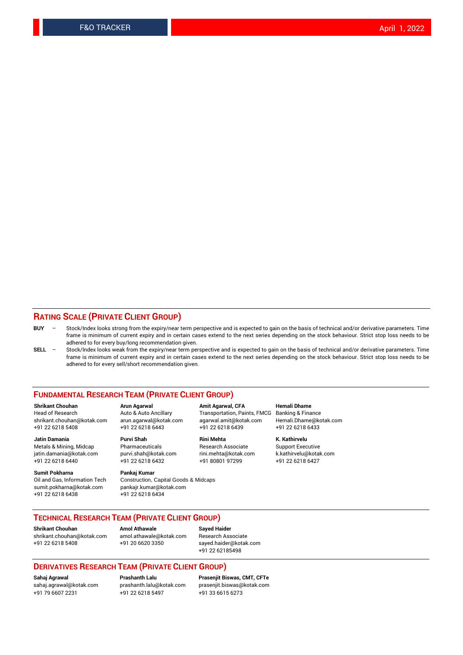#### **RATING SCALE (PRIVATE CLIENT GROUP)**

- **BUY**  Stock/Index looks strong from the expiry/near term perspective and is expected to gain on the basis of technical and/or derivative parameters. Time frame is minimum of current expiry and in certain cases extend to the next series depending on the stock behaviour. Strict stop loss needs to be adhered to for every buy/long recommendation given.
- **SELL** Stock/Index looks weak from the expiry/near term perspective and is expected to gain on the basis of technical and/or derivative parameters. Time frame is minimum of current expiry and in certain cases extend to the next series depending on the stock behaviour. Strict stop loss needs to be adhered to for every sell/short recommendation given.

#### **FUNDAMENTAL RESEARCH TEAM (PRIVATE CLIENT GROUP)**

**Shrikant Chouhan Arun Agarwal Amit Agarwal, CFA Hemali Dhame** shrikant.chouhan@kotak.com arun.agarwal@kotak.com agarwal.amit@kotak.com Hemali.Dhame@kotak.com +91 22 6218 5408 +91 22 6218 6443 +91 22 6218 6439 +91 22 6218 6433

Metals & Mining, Midcap Pharmaceuticals Pharmaceuticals Research Associate Support Executive<br>
iatin.damania@kotak.com purvi.shah@kotak.com rini.mehta@kotak.com k.kathirvelu@kotak.com jatin.damania@kotak.com

**Sumit Pokharna** Pankaj Kumar<br>Oil and Gas, Information Tech Construction, sumit.pokharna@kotak.com pankajr.kumar@kotak.com +91 22 6218 6438 +91 22 6218 6434

# **Jatin Damania Purvi Shah Rini Mehta K. Kathirvelu**

Construction, Capital Goods & Midcaps

Transportation, Paints, FMCG

+91 22 6218 6440 +91 22 6218 6432 +91 80801 97299 +91 22 6218 6427

#### **TECHNICAL RESEARCH TEAM (PRIVATE CLIENT GROUP)**

[shrikant.chouhan@kotak.com](mailto:shrikant.chouhan@kotak.com) [amol.athawale@kotak.com](mailto:amol.athawale@kotak.com) Research Associate +91 22 6218 5408 +91 20 6620 3350 [sayed.haider@kotak.com](mailto:sayed.haider@kotak.com)

**Shrikant Chouhan Amol Athawale Sayed Haider**

+91 22 62185498

#### **DERIVATIVES RESEARCH TEAM (PRIVATE CLIENT GROUP)**

+91 79 6607 2231 +91 22 6218 5497 +91 33 6615 6273

**Sahaj Agrawal Prashanth Lalu Prasenjit Biswas, CMT, CFTe** [prasenjit.biswas@kotak.com](mailto:prasenjit.biswas@kotak.com)